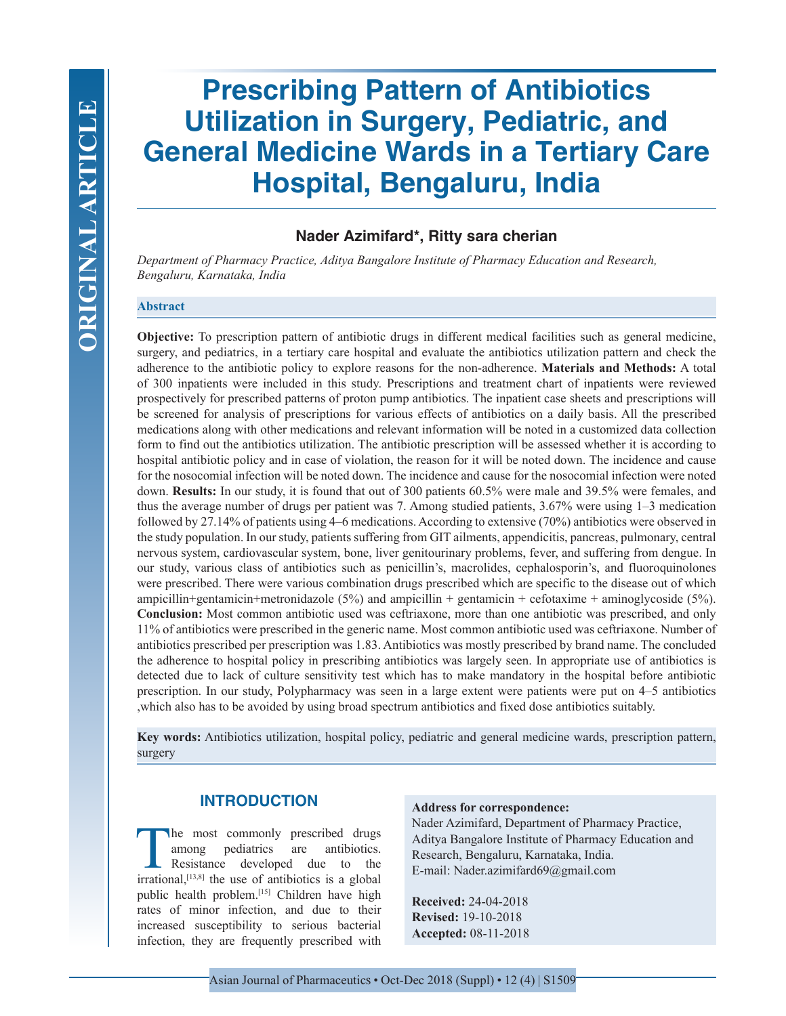# **Nader Azimifard\*, Ritty sara cherian**

*Department of Pharmacy Practice, Aditya Bangalore Institute of Pharmacy Education and Research, Bengaluru, Karnataka, India*

#### **Abstract**

**Objective:** To prescription pattern of antibiotic drugs in different medical facilities such as general medicine, surgery, and pediatrics, in a tertiary care hospital and evaluate the antibiotics utilization pattern and check the adherence to the antibiotic policy to explore reasons for the non-adherence. **Materials and Methods:** A total of 300 inpatients were included in this study. Prescriptions and treatment chart of inpatients were reviewed prospectively for prescribed patterns of proton pump antibiotics. The inpatient case sheets and prescriptions will be screened for analysis of prescriptions for various effects of antibiotics on a daily basis. All the prescribed medications along with other medications and relevant information will be noted in a customized data collection form to find out the antibiotics utilization. The antibiotic prescription will be assessed whether it is according to hospital antibiotic policy and in case of violation, the reason for it will be noted down. The incidence and cause for the nosocomial infection will be noted down. The incidence and cause for the nosocomial infection were noted down. **Results:** In our study, it is found that out of 300 patients 60.5% were male and 39.5% were females, and thus the average number of drugs per patient was 7. Among studied patients, 3.67% were using 1–3 medication followed by 27.14% of patients using 4–6 medications. According to extensive (70%) antibiotics were observed in the study population. In our study, patients suffering from GIT ailments, appendicitis, pancreas, pulmonary, central nervous system, cardiovascular system, bone, liver genitourinary problems, fever, and suffering from dengue. In our study, various class of antibiotics such as penicillin's, macrolides, cephalosporin's, and fluoroquinolones were prescribed. There were various combination drugs prescribed which are specific to the disease out of which ampicillin+gentamicin+metronidazole (5%) and ampicillin + gentamicin + cefotaxime + aminoglycoside (5%). **Conclusion:** Most common antibiotic used was ceftriaxone, more than one antibiotic was prescribed, and only 11% of antibiotics were prescribed in the generic name. Most common antibiotic used was ceftriaxone. Number of antibiotics prescribed per prescription was 1.83. Antibiotics was mostly prescribed by brand name. The concluded the adherence to hospital policy in prescribing antibiotics was largely seen. In appropriate use of antibiotics is detected due to lack of culture sensitivity test which has to make mandatory in the hospital before antibiotic prescription. In our study, Polypharmacy was seen in a large extent were patients were put on 4–5 antibiotics ,which also has to be avoided by using broad spectrum antibiotics and fixed dose antibiotics suitably.

**Key words:** Antibiotics utilization, hospital policy, pediatric and general medicine wards, prescription pattern, surgery

# **INTRODUCTION**

The most commonly prescribed drugs<br>among pediatrics are antibiotics.<br>Resistance developed due to the<br>irrational [13,8] the use of antibiotics is a global among pediatrics are antibiotics. Resistance developed due to the  $irrational$ <sup>[13,8]</sup> the use of antibiotics is a global public health problem.<sup>[15]</sup> Children have high rates of minor infection, and due to their increased susceptibility to serious bacterial infection, they are frequently prescribed with

#### **Address for correspondence:**

Nader Azimifard, Department of Pharmacy Practice, Aditya Bangalore Institute of Pharmacy Education and Research, Bengaluru, Karnataka, India. E-mail: Nader.azimifard69@gmail.com

**Received:** 24-04-2018 **Revised:** 19-10-2018 **Accepted:** 08-11-2018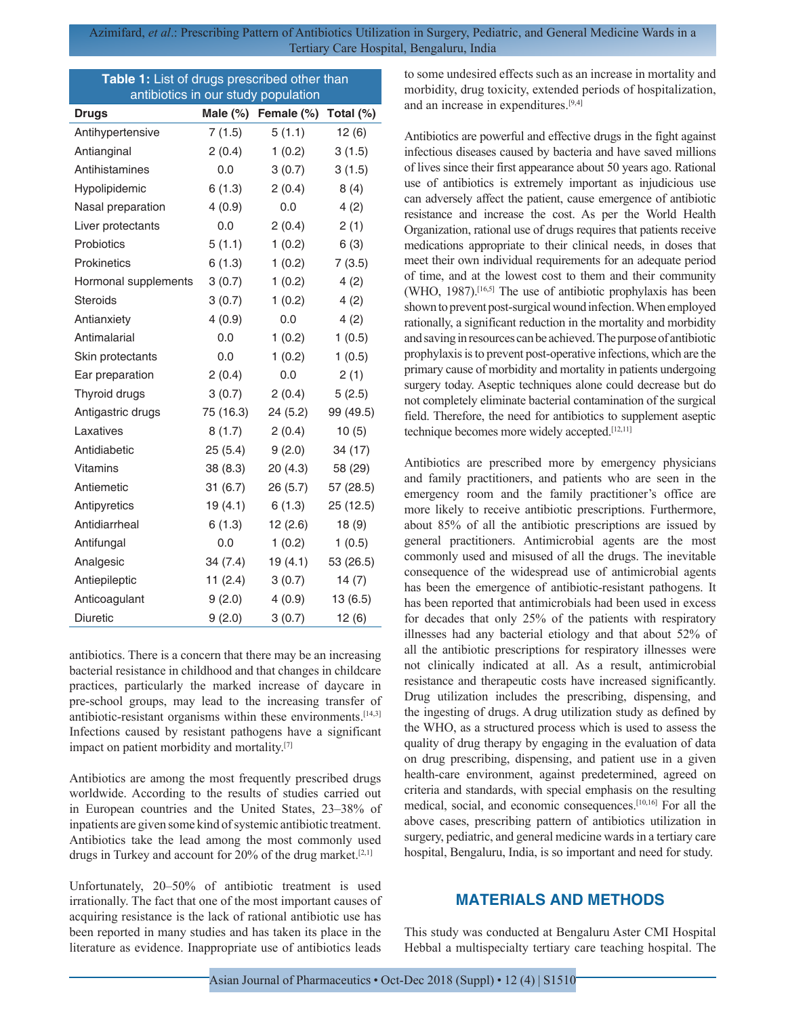| Table 1: List of drugs prescribed other than |           |                           |              |  |
|----------------------------------------------|-----------|---------------------------|--------------|--|
| antibiotics in our study population          |           |                           |              |  |
| <b>Drugs</b>                                 |           | Male $(\%)$ Female $(\%)$ | Total $(\%)$ |  |
| Antihypertensive                             | 7(1.5)    | 5(1.1)                    | 12(6)        |  |
| Antianginal                                  | 2(0.4)    | 1(0.2)                    | 3(1.5)       |  |
| Antihistamines                               | 0.0       | 3(0.7)                    | 3(1.5)       |  |
| Hypolipidemic                                | 6(1.3)    | 2(0.4)                    | 8(4)         |  |
| Nasal preparation                            | 4(0.9)    | 0.0                       | 4(2)         |  |
| Liver protectants                            | 0.0       | 2(0.4)                    | 2(1)         |  |
| Probiotics                                   | 5(1.1)    | 1(0.2)                    | 6(3)         |  |
| <b>Prokinetics</b>                           | 6(1.3)    | 1(0.2)                    | 7(3.5)       |  |
| Hormonal supplements                         | 3(0.7)    | 1(0.2)                    | 4(2)         |  |
| <b>Steroids</b>                              | 3(0.7)    | 1(0.2)                    | 4(2)         |  |
| Antianxiety                                  | 4(0.9)    | 0.0                       | 4(2)         |  |
| Antimalarial                                 | 0.0       | 1(0.2)                    | 1(0.5)       |  |
| Skin protectants                             | 0.0       | 1(0.2)                    | 1(0.5)       |  |
| Ear preparation                              | 2(0.4)    | 0.0                       | 2(1)         |  |
| Thyroid drugs                                | 3(0.7)    | 2(0.4)                    | 5(2.5)       |  |
| Antigastric drugs                            | 75 (16.3) | 24(5.2)                   | 99 (49.5)    |  |
| Laxatives                                    | 8(1.7)    | 2(0.4)                    | 10(5)        |  |
| Antidiabetic                                 | 25(5.4)   | 9(2.0)                    | 34 (17)      |  |
| <b>Vitamins</b>                              | 38 (8.3)  | 20 (4.3)                  | 58 (29)      |  |
| Antiemetic                                   | 31(6.7)   | 26(5.7)                   | 57 (28.5)    |  |
| Antipyretics                                 | 19(4.1)   | 6(1.3)                    | 25 (12.5)    |  |
| Antidiarrheal                                | 6(1.3)    | 12(2.6)                   | 18(9)        |  |
| Antifungal                                   | 0.0       | 1(0.2)                    | 1(0.5)       |  |
| Analgesic                                    | 34 (7.4)  | 19 (4.1)                  | 53 (26.5)    |  |
| Antiepileptic                                | 11(2.4)   | 3(0.7)                    | 14(7)        |  |
| Anticoagulant                                | 9(2.0)    | 4(0.9)                    | 13 (6.5)     |  |
| <b>Diuretic</b>                              | 9(2.0)    | 3(0.7)                    | 12(6)        |  |

antibiotics. There is a concern that there may be an increasing bacterial resistance in childhood and that changes in childcare practices, particularly the marked increase of daycare in pre-school groups, may lead to the increasing transfer of antibiotic-resistant organisms within these environments.[14,3] Infections caused by resistant pathogens have a significant impact on patient morbidity and mortality.[7]

Antibiotics are among the most frequently prescribed drugs worldwide. According to the results of studies carried out in European countries and the United States, 23–38% of inpatients are given some kind of systemic antibiotic treatment. Antibiotics take the lead among the most commonly used drugs in Turkey and account for 20% of the drug market.[2,1]

Unfortunately, 20–50% of antibiotic treatment is used irrationally. The fact that one of the most important causes of acquiring resistance is the lack of rational antibiotic use has been reported in many studies and has taken its place in the literature as evidence. Inappropriate use of antibiotics leads

to some undesired effects such as an increase in mortality and morbidity, drug toxicity, extended periods of hospitalization, and an increase in expenditures.[9,4]

Antibiotics are powerful and effective drugs in the fight against infectious diseases caused by bacteria and have saved millions of lives since their first appearance about 50 years ago. Rational use of antibiotics is extremely important as injudicious use can adversely affect the patient, cause emergence of antibiotic resistance and increase the cost. As per the World Health Organization, rational use of drugs requires that patients receive medications appropriate to their clinical needs, in doses that meet their own individual requirements for an adequate period of time, and at the lowest cost to them and their community (WHO, 1987).[16,5] The use of antibiotic prophylaxis has been shown to prevent post-surgical wound infection. When employed rationally, a significant reduction in the mortality and morbidity and saving in resources can be achieved. The purpose of antibiotic prophylaxis is to prevent post-operative infections, which are the primary cause of morbidity and mortality in patients undergoing surgery today. Aseptic techniques alone could decrease but do not completely eliminate bacterial contamination of the surgical field. Therefore, the need for antibiotics to supplement aseptic technique becomes more widely accepted.[12,11]

Antibiotics are prescribed more by emergency physicians and family practitioners, and patients who are seen in the emergency room and the family practitioner's office are more likely to receive antibiotic prescriptions. Furthermore, about 85% of all the antibiotic prescriptions are issued by general practitioners. Antimicrobial agents are the most commonly used and misused of all the drugs. The inevitable consequence of the widespread use of antimicrobial agents has been the emergence of antibiotic-resistant pathogens. It has been reported that antimicrobials had been used in excess for decades that only 25% of the patients with respiratory illnesses had any bacterial etiology and that about 52% of all the antibiotic prescriptions for respiratory illnesses were not clinically indicated at all. As a result, antimicrobial resistance and therapeutic costs have increased significantly. Drug utilization includes the prescribing, dispensing, and the ingesting of drugs. A drug utilization study as defined by the WHO, as a structured process which is used to assess the quality of drug therapy by engaging in the evaluation of data on drug prescribing, dispensing, and patient use in a given health-care environment, against predetermined, agreed on criteria and standards, with special emphasis on the resulting medical, social, and economic consequences.[10,16] For all the above cases, prescribing pattern of antibiotics utilization in surgery, pediatric, and general medicine wards in a tertiary care hospital, Bengaluru, India, is so important and need for study.

# **MATERIALS AND METHODS**

This study was conducted at Bengaluru Aster CMI Hospital Hebbal a multispecialty tertiary care teaching hospital. The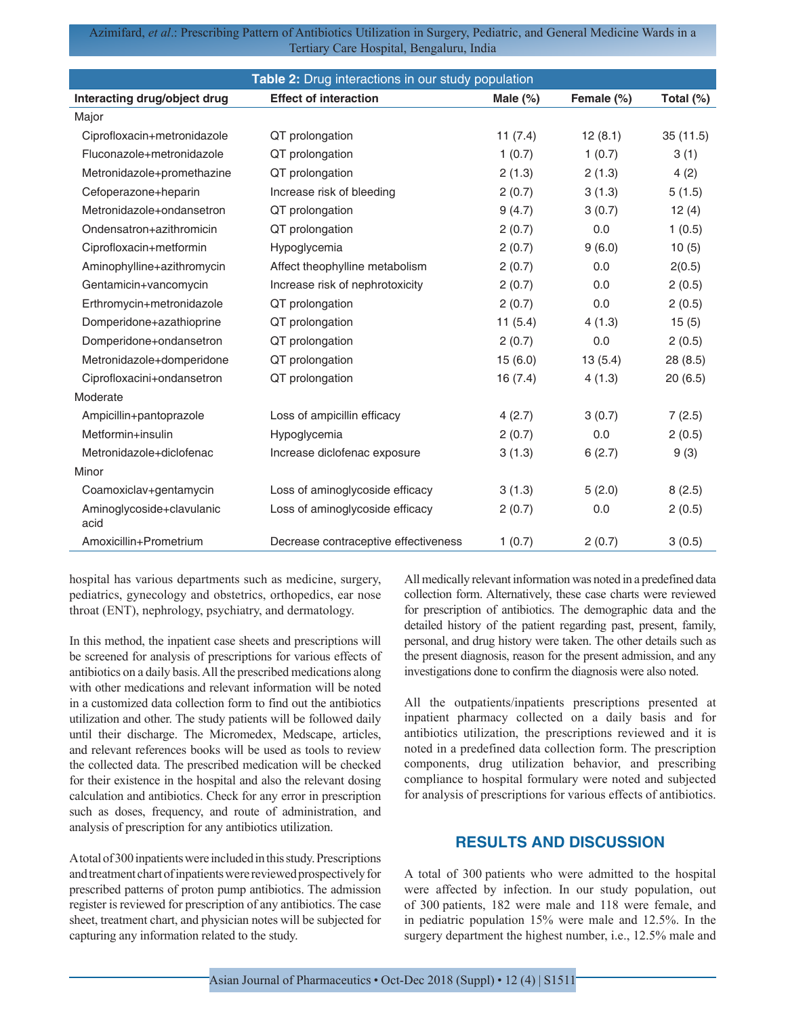| Table 2: Drug interactions in our study population |                                      |             |            |           |  |
|----------------------------------------------------|--------------------------------------|-------------|------------|-----------|--|
| Interacting drug/object drug                       | <b>Effect of interaction</b>         | Male $(\%)$ | Female (%) | Total (%) |  |
| Major                                              |                                      |             |            |           |  |
| Ciprofloxacin+metronidazole                        | QT prolongation                      | 11 $(7.4)$  | 12(8.1)    | 35(11.5)  |  |
| Fluconazole+metronidazole                          | QT prolongation                      | 1(0.7)      | 1(0.7)     | 3(1)      |  |
| Metronidazole+promethazine                         | QT prolongation                      | 2(1.3)      | 2(1.3)     | 4(2)      |  |
| Cefoperazone+heparin                               | Increase risk of bleeding            | 2(0.7)      | 3(1.3)     | 5(1.5)    |  |
| Metronidazole+ondansetron                          | QT prolongation                      | 9(4.7)      | 3(0.7)     | 12(4)     |  |
| Ondensatron+azithromicin                           | QT prolongation                      | 2(0.7)      | 0.0        | 1(0.5)    |  |
| Ciprofloxacin+metformin                            | Hypoglycemia                         | 2(0.7)      | 9(6.0)     | 10(5)     |  |
| Aminophylline+azithromycin                         | Affect theophylline metabolism       | 2(0.7)      | 0.0        | 2(0.5)    |  |
| Gentamicin+vancomycin                              | Increase risk of nephrotoxicity      | 2(0.7)      | 0.0        | 2(0.5)    |  |
| Erthromycin+metronidazole                          | QT prolongation                      | 2(0.7)      | 0.0        | 2(0.5)    |  |
| Domperidone+azathioprine                           | QT prolongation                      | 11(5.4)     | 4(1.3)     | 15(5)     |  |
| Domperidone+ondansetron                            | QT prolongation                      | 2(0.7)      | 0.0        | 2(0.5)    |  |
| Metronidazole+domperidone                          | QT prolongation                      | 15(6.0)     | 13(5.4)    | 28 (8.5)  |  |
| Ciprofloxacini+ondansetron                         | QT prolongation                      | 16(7.4)     | 4(1.3)     | 20(6.5)   |  |
| Moderate                                           |                                      |             |            |           |  |
| Ampicillin+pantoprazole                            | Loss of ampicillin efficacy          | 4(2.7)      | 3(0.7)     | 7(2.5)    |  |
| Metformin+insulin                                  | Hypoglycemia                         | 2(0.7)      | 0.0        | 2(0.5)    |  |
| Metronidazole+diclofenac                           | Increase diclofenac exposure         | 3(1.3)      | 6(2.7)     | 9(3)      |  |
| Minor                                              |                                      |             |            |           |  |
| Coamoxiclav+gentamycin                             | Loss of aminoglycoside efficacy      | 3(1.3)      | 5(2.0)     | 8(2.5)    |  |
| Aminoglycoside+clavulanic<br>acid                  | Loss of aminoglycoside efficacy      | 2(0.7)      | 0.0        | 2(0.5)    |  |
| Amoxicillin+Prometrium                             | Decrease contraceptive effectiveness | 1(0.7)      | 2(0.7)     | 3(0.5)    |  |

hospital has various departments such as medicine, surgery, pediatrics, gynecology and obstetrics, orthopedics, ear nose throat (ENT), nephrology, psychiatry, and dermatology.

In this method, the inpatient case sheets and prescriptions will be screened for analysis of prescriptions for various effects of antibiotics on a daily basis. All the prescribed medications along with other medications and relevant information will be noted in a customized data collection form to find out the antibiotics utilization and other. The study patients will be followed daily until their discharge. The Micromedex, Medscape, articles, and relevant references books will be used as tools to review the collected data. The prescribed medication will be checked for their existence in the hospital and also the relevant dosing calculation and antibiotics. Check for any error in prescription such as doses, frequency, and route of administration, and analysis of prescription for any antibiotics utilization.

A total of 300 inpatients were included in this study. Prescriptions and treatment chart of inpatients were reviewed prospectively for prescribed patterns of proton pump antibiotics. The admission register is reviewed for prescription of any antibiotics. The case sheet, treatment chart, and physician notes will be subjected for capturing any information related to the study.

All medically relevant information was noted in a predefined data collection form. Alternatively, these case charts were reviewed for prescription of antibiotics. The demographic data and the detailed history of the patient regarding past, present, family, personal, and drug history were taken. The other details such as the present diagnosis, reason for the present admission, and any investigations done to confirm the diagnosis were also noted.

All the outpatients/inpatients prescriptions presented at inpatient pharmacy collected on a daily basis and for antibiotics utilization, the prescriptions reviewed and it is noted in a predefined data collection form. The prescription components, drug utilization behavior, and prescribing compliance to hospital formulary were noted and subjected for analysis of prescriptions for various effects of antibiotics.

# **RESULTS AND DISCUSSION**

A total of 300 patients who were admitted to the hospital were affected by infection. In our study population, out of 300 patients, 182 were male and 118 were female, and in pediatric population 15% were male and 12.5%. In the surgery department the highest number, i.e., 12.5% male and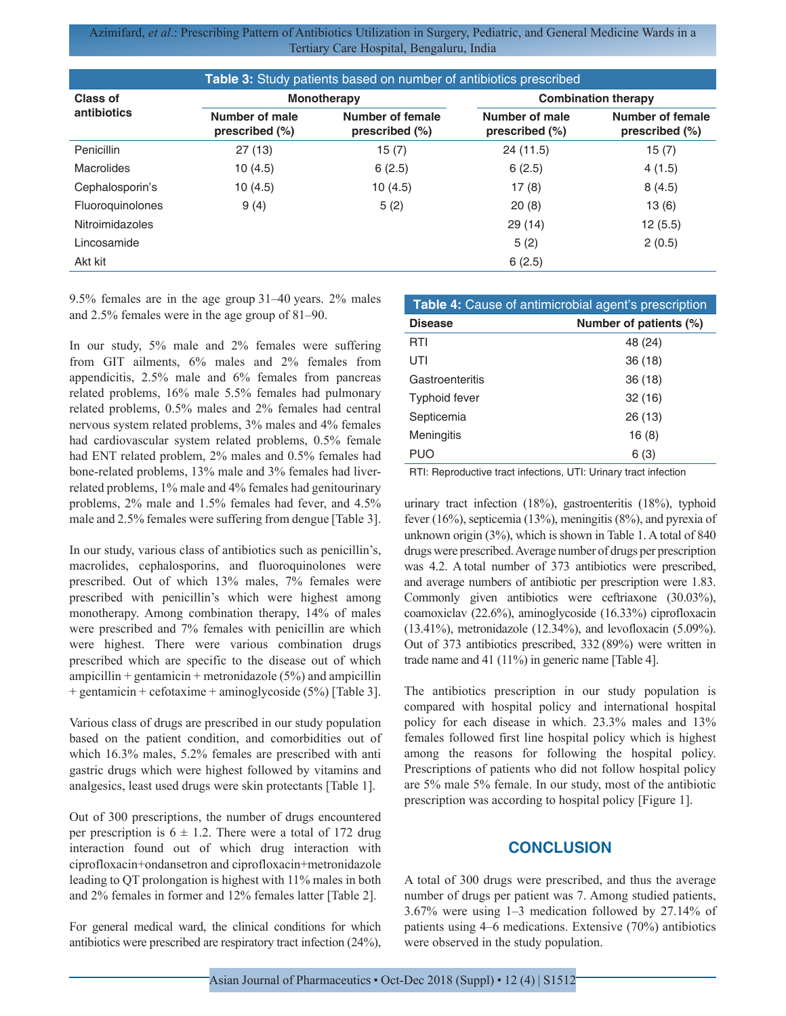| Table 3: Study patients based on number of antibiotics prescribed |                                     |                                       |                                     |                                              |
|-------------------------------------------------------------------|-------------------------------------|---------------------------------------|-------------------------------------|----------------------------------------------|
| Class of<br>antibiotics                                           | <b>Monotherapy</b>                  |                                       | <b>Combination therapy</b>          |                                              |
|                                                                   | Number of male<br>prescribed $(\%)$ | Number of female<br>prescribed $(\%)$ | Number of male<br>prescribed $(\%)$ | <b>Number of female</b><br>prescribed $(\%)$ |
| Penicillin                                                        | 27(13)                              | 15(7)                                 | 24 (11.5)                           | 15 (7)                                       |
| Macrolides                                                        | 10(4.5)                             | 6(2.5)                                | 6(2.5)                              | 4(1.5)                                       |
| Cephalosporin's                                                   | 10(4.5)                             | 10(4.5)                               | 17(8)                               | 8(4.5)                                       |
| <b>Fluoroguinolones</b>                                           | 9(4)                                | 5(2)                                  | 20(8)                               | 13(6)                                        |
| <b>Nitroimidazoles</b>                                            |                                     |                                       | 29 (14)                             | 12(5.5)                                      |
| Lincosamide                                                       |                                     |                                       | 5(2)                                | 2(0.5)                                       |
| Akt kit                                                           |                                     |                                       | 6(2.5)                              |                                              |

9.5% females are in the age group 31–40 years. 2% males and 2.5% females were in the age group of 81–90.

In our study, 5% male and 2% females were suffering from GIT ailments, 6% males and 2% females from appendicitis, 2.5% male and 6% females from pancreas related problems, 16% male 5.5% females had pulmonary related problems, 0.5% males and 2% females had central nervous system related problems, 3% males and 4% females had cardiovascular system related problems, 0.5% female had ENT related problem, 2% males and 0.5% females had bone-related problems, 13% male and 3% females had liverrelated problems, 1% male and 4% females had genitourinary problems, 2% male and 1.5% females had fever, and 4.5% male and 2.5% females were suffering from dengue [Table 3].

In our study, various class of antibiotics such as penicillin's, macrolides, cephalosporins, and fluoroquinolones were prescribed. Out of which 13% males, 7% females were prescribed with penicillin's which were highest among monotherapy. Among combination therapy, 14% of males were prescribed and 7% females with penicillin are which were highest. There were various combination drugs prescribed which are specific to the disease out of which ampicillin + gentamicin + metronidazole  $(5\%)$  and ampicillin + gentamicin + cefotaxime + aminoglycoside (5%) [Table 3].

Various class of drugs are prescribed in our study population based on the patient condition, and comorbidities out of which 16.3% males, 5.2% females are prescribed with anti gastric drugs which were highest followed by vitamins and analgesics, least used drugs were skin protectants [Table 1].

Out of 300 prescriptions, the number of drugs encountered per prescription is  $6 \pm 1.2$ . There were a total of 172 drug interaction found out of which drug interaction with ciprofloxacin+ondansetron and ciprofloxacin+metronidazole leading to QT prolongation is highest with 11% males in both and 2% females in former and 12% females latter [Table 2].

For general medical ward, the clinical conditions for which antibiotics were prescribed are respiratory tract infection (24%),

| Table 4: Cause of antimicrobial agent's prescription |                        |  |  |
|------------------------------------------------------|------------------------|--|--|
| <b>Disease</b>                                       | Number of patients (%) |  |  |
| RTI                                                  | 48 (24)                |  |  |
| UTI                                                  | 36 (18)                |  |  |
| Gastroenteritis                                      | 36 (18)                |  |  |
| <b>Typhoid fever</b>                                 | 32(16)                 |  |  |
| Septicemia                                           | 26 (13)                |  |  |
| <b>Meningitis</b>                                    | 16(8)                  |  |  |
| PUO                                                  | 6 (3)                  |  |  |

RTI: Reproductive tract infections, UTI: Urinary tract infection

urinary tract infection (18%), gastroenteritis (18%), typhoid fever (16%), septicemia (13%), meningitis (8%), and pyrexia of unknown origin (3%), which is shown in Table 1. A total of 840 drugs were prescribed. Average number of drugs per prescription was 4.2. A total number of 373 antibiotics were prescribed, and average numbers of antibiotic per prescription were 1.83. Commonly given antibiotics were ceftriaxone (30.03%), coamoxiclav (22.6%), aminoglycoside (16.33%) ciprofloxacin (13.41%), metronidazole (12.34%), and levofloxacin (5.09%). Out of 373 antibiotics prescribed, 332 (89%) were written in trade name and 41 (11%) in generic name [Table 4].

The antibiotics prescription in our study population is compared with hospital policy and international hospital policy for each disease in which. 23.3% males and 13% females followed first line hospital policy which is highest among the reasons for following the hospital policy. Prescriptions of patients who did not follow hospital policy are 5% male 5% female. In our study, most of the antibiotic prescription was according to hospital policy [Figure 1].

# **CONCLUSION**

A total of 300 drugs were prescribed, and thus the average number of drugs per patient was 7. Among studied patients, 3.67% were using 1–3 medication followed by 27.14% of patients using 4–6 medications. Extensive (70%) antibiotics were observed in the study population.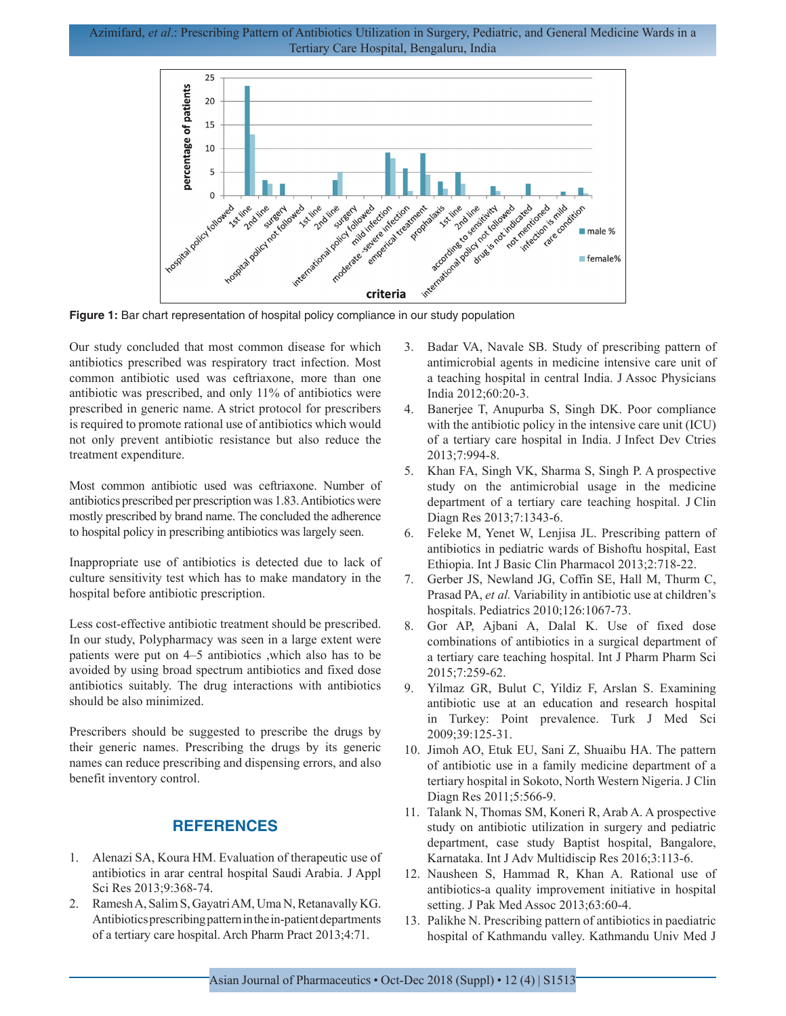Azimifard, *et al*.: Prescribing Pattern of Antibiotics Utilization in Surgery, Pediatric, and General Medicine Wards in a Tertiary Care Hospital, Bengaluru, India



Our study concluded that most common disease for which antibiotics prescribed was respiratory tract infection. Most common antibiotic used was ceftriaxone, more than one antibiotic was prescribed, and only 11% of antibiotics were prescribed in generic name. A strict protocol for prescribers is required to promote rational use of antibiotics which would not only prevent antibiotic resistance but also reduce the treatment expenditure.

Most common antibiotic used was ceftriaxone. Number of antibiotics prescribed per prescription was 1.83. Antibiotics were mostly prescribed by brand name. The concluded the adherence to hospital policy in prescribing antibiotics was largely seen.

Inappropriate use of antibiotics is detected due to lack of culture sensitivity test which has to make mandatory in the hospital before antibiotic prescription.

Less cost-effective antibiotic treatment should be prescribed. In our study, Polypharmacy was seen in a large extent were patients were put on 4–5 antibiotics ,which also has to be avoided by using broad spectrum antibiotics and fixed dose antibiotics suitably. The drug interactions with antibiotics should be also minimized.

Prescribers should be suggested to prescribe the drugs by their generic names. Prescribing the drugs by its generic names can reduce prescribing and dispensing errors, and also benefit inventory control.

# **REFERENCES**

- 1. Alenazi SA, Koura HM. Evaluation of therapeutic use of antibiotics in arar central hospital Saudi Arabia. J Appl Sci Res 2013;9:368-74.
- 2. Ramesh A, Salim S, Gayatri AM, Uma N, Retanavally KG. Antibiotics prescribing pattern in the in-patient departments of a tertiary care hospital. Arch Pharm Pract 2013;4:71.
- 3. Badar VA, Navale SB. Study of prescribing pattern of antimicrobial agents in medicine intensive care unit of a teaching hospital in central India. J Assoc Physicians India 2012;60:20-3.
- 4. Banerjee T, Anupurba S, Singh DK. Poor compliance with the antibiotic policy in the intensive care unit (ICU) of a tertiary care hospital in India. J Infect Dev Ctries 2013;7:994-8.
- 5. Khan FA, Singh VK, Sharma S, Singh P. A prospective study on the antimicrobial usage in the medicine department of a tertiary care teaching hospital. J Clin Diagn Res 2013;7:1343-6.
- 6. Feleke M, Yenet W, Lenjisa JL. Prescribing pattern of antibiotics in pediatric wards of Bishoftu hospital, East Ethiopia. Int J Basic Clin Pharmacol 2013;2:718-22.
- 7. Gerber JS, Newland JG, Coffin SE, Hall M, Thurm C, Prasad PA, *et al.* Variability in antibiotic use at children's hospitals. Pediatrics 2010;126:1067-73.
- 8. Gor AP, Ajbani A, Dalal K. Use of fixed dose combinations of antibiotics in a surgical department of a tertiary care teaching hospital. Int J Pharm Pharm Sci 2015;7:259-62.
- 9. Yilmaz GR, Bulut C, Yildiz F, Arslan S. Examining antibiotic use at an education and research hospital in Turkey: Point prevalence. Turk J Med Sci 2009;39:125-31.
- 10. Jimoh AO, Etuk EU, Sani Z, Shuaibu HA. The pattern of antibiotic use in a family medicine department of a tertiary hospital in Sokoto, North Western Nigeria. J Clin Diagn Res 2011;5:566-9.
- 11. Talank N, Thomas SM, Koneri R, Arab A. A prospective study on antibiotic utilization in surgery and pediatric department, case study Baptist hospital, Bangalore, Karnataka. Int J Adv Multidiscip Res 2016;3:113-6.
- 12. Nausheen S, Hammad R, Khan A. Rational use of antibiotics-a quality improvement initiative in hospital setting. J Pak Med Assoc 2013;63:60-4.
- 13. Palikhe N. Prescribing pattern of antibiotics in paediatric hospital of Kathmandu valley. Kathmandu Univ Med J